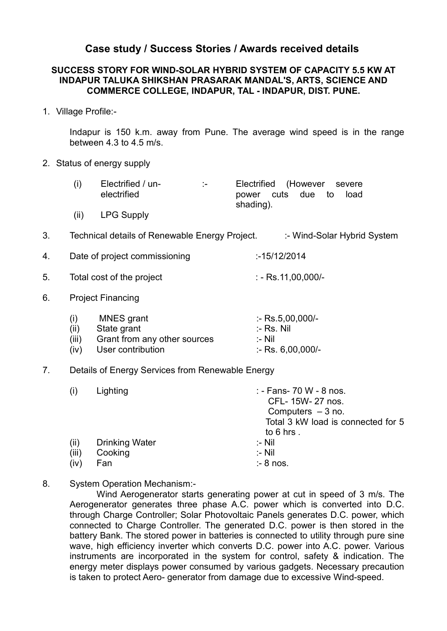## **Case study / Success Stories / Awards received details**

## **SUCCESS STORY FOR WIND-SOLAR HYBRID SYSTEM OF CAPACITY 5.5 KW AT INDAPUR TALUKA SHIKSHAN PRASARAK MANDAL'S, ARTS, SCIENCE AND COMMERCE COLLEGE, INDAPUR, TAL - INDAPUR, DIST. PUNE.**

1. Village Profile:-

Indapur is 150 k.m. away from Pune. The average wind speed is in the range between 4.3 to 4.5 m/s.

2. Status of energy supply

| (i) | Electrified / un- | <b>Service</b> | Electrified (However severe |  |  |  |  |  |
|-----|-------------------|----------------|-----------------------------|--|--|--|--|--|
|     | electrified       |                | power cuts due to load      |  |  |  |  |  |
|     |                   |                | shading).                   |  |  |  |  |  |

- (ii) LPG Supply
- 3. Technical details of Renewable Energy Project. : Wind-Solar Hybrid System
- 4. Date of project commissioning :-15/12/2014
- 5. Total cost of the project  $\cdot$  Rs.11,00,000/-
- 6. Project Financing
	- (i) MNES grant :- Rs.5,00,000/-(ii) State grant :- Rs. Nil (iii) Grant from any other sources :- Nil  $(iv)$  User contribution  $\therefore$  Rs. 6,00,000/-
- 7. Details of Energy Services from Renewable Energy

| (i)   | Lighting              | : - Fans- 70 W - 8 nos.            |
|-------|-----------------------|------------------------------------|
|       |                       | CFL- 15W- 27 nos.                  |
|       |                       | Computers $-3$ no.                 |
|       |                       | Total 3 kW load is connected for 5 |
|       |                       | to 6 hrs.                          |
| (ii)  | <b>Drinking Water</b> | ∴- Nil                             |
| (iii) | Cooking               | $\cdot$ - Nil                      |
| (iv)  | Fan                   | $\therefore$ 8 nos.                |
|       |                       |                                    |

8. System Operation Mechanism:-

Wind Aerogenerator starts generating power at cut in speed of 3 m/s. The Aerogenerator generates three phase A.C. power which is converted into D.C. through Charge Controller; Solar Photovoltaic Panels generates D.C. power, which connected to Charge Controller. The generated D.C. power is then stored in the battery Bank. The stored power in batteries is connected to utility through pure sine wave, high efficiency inverter which converts D.C. power into A.C. power. Various instruments are incorporated in the system for control, safety & indication. The energy meter displays power consumed by various gadgets. Necessary precaution is taken to protect Aero- generator from damage due to excessive Wind-speed.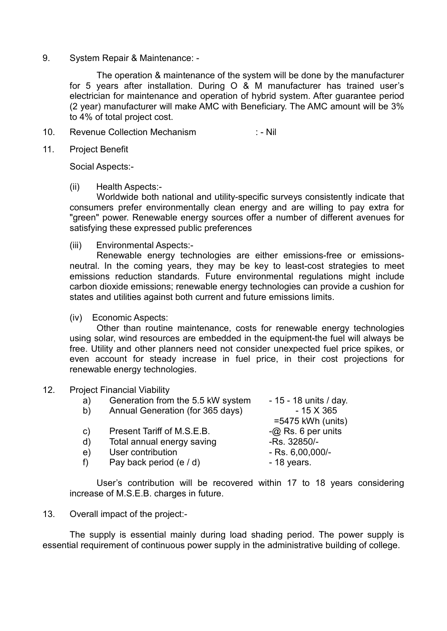9. System Repair & Maintenance: -

The operation & maintenance of the system will be done by the manufacturer for 5 years after installation. During O & M manufacturer has trained user's electrician for maintenance and operation of hybrid system. After guarantee period (2 year) manufacturer will make AMC with Beneficiary. The AMC amount will be 3% to 4% of total project cost.

10. Revenue Collection Mechanism : - Nil

11. Project Benefit

Social Aspects:-

(ii) Health Aspects:-

Worldwide both national and utility-specific surveys consistently indicate that consumers prefer environmentally clean energy and are willing to pay extra for "green" power. Renewable energy sources offer a number of different avenues for satisfying these expressed public preferences

(iii) Environmental Aspects:-

Renewable energy technologies are either emissions-free or emissionsneutral. In the coming years, they may be key to least-cost strategies to meet emissions reduction standards. Future environmental regulations might include carbon dioxide emissions; renewable energy technologies can provide a cushion for states and utilities against both current and future emissions limits.

(iv) Economic Aspects:

Other than routine maintenance, costs for renewable energy technologies using solar, wind resources are embedded in the equipment-the fuel will always be free. Utility and other planners need not consider unexpected fuel price spikes, or even account for steady increase in fuel price, in their cost projections for renewable energy technologies.

## 12. Project Financial Viability

| a)           | Generation from the 5.5 kW system | $-15 - 18$ units / day.   |
|--------------|-----------------------------------|---------------------------|
| b)           | Annual Generation (for 365 days)  | $-15$ X 365               |
|              |                                   | $=5475$ kWh (units)       |
| $\mathsf{C}$ | Present Tariff of M.S.E.B.        | $-\omega$ Rs. 6 per units |
| d)           | Total annual energy saving        | -Rs. 32850/-              |
| e)           | User contribution                 | $-Rs. 6,00,000/-$         |
| f)           | Pay back period (e / d)           | $-18$ years.              |
|              |                                   |                           |

User's contribution will be recovered within 17 to 18 years considering increase of M.S.E.B. charges in future.

## 13. Overall impact of the project:-

The supply is essential mainly during load shading period. The power supply is essential requirement of continuous power supply in the administrative building of college.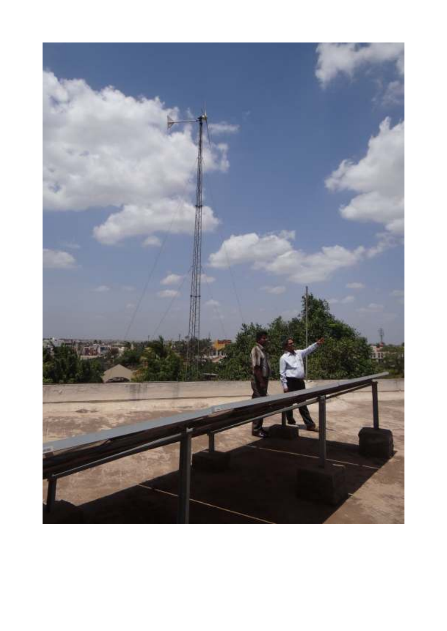